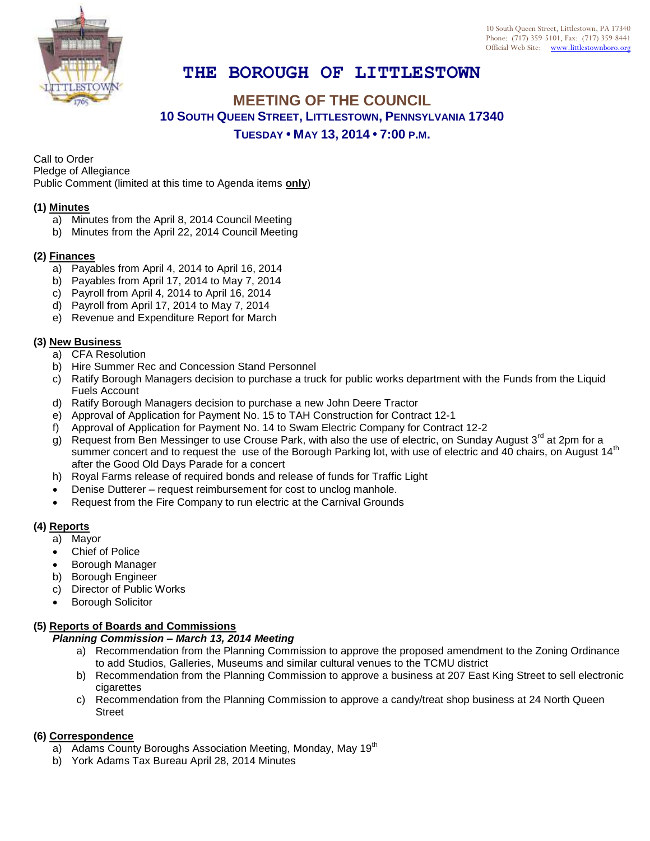

# **THE BOROUGH OF LITTLESTOWN**

## **MEETING OF THE COUNCIL 10 SOUTH QUEEN STREET, LITTLESTOWN, PENNSYLVANIA 17340 TUESDAY • MAY 13, 2014 • 7:00 P.M.**

Call to Order

Pledge of Allegiance

Public Comment (limited at this time to Agenda items **only**)

#### **(1) Minutes**

- a) Minutes from the April 8, 2014 Council Meeting
- b) Minutes from the April 22, 2014 Council Meeting

#### **(2) Finances**

- a) Payables from April 4, 2014 to April 16, 2014
- b) Payables from April 17, 2014 to May 7, 2014
- c) Payroll from April 4, 2014 to April 16, 2014
- d) Payroll from April 17, 2014 to May 7, 2014
- e) Revenue and Expenditure Report for March

#### **(3) New Business**

- a) CFA Resolution
- b) Hire Summer Rec and Concession Stand Personnel
- c) Ratify Borough Managers decision to purchase a truck for public works department with the Funds from the Liquid Fuels Account
- d) Ratify Borough Managers decision to purchase a new John Deere Tractor
- e) Approval of Application for Payment No. 15 to TAH Construction for Contract 12-1
- f) Approval of Application for Payment No. 14 to Swam Electric Company for Contract 12-2
- g) Request from Ben Messinger to use Crouse Park, with also the use of electric, on Sunday August  $3<sup>rd</sup>$  at 2pm for a summer concert and to request the use of the Borough Parking lot, with use of electric and 40 chairs, on August 14<sup>th</sup> after the Good Old Days Parade for a concert
- h) Royal Farms release of required bonds and release of funds for Traffic Light
- Denise Dutterer request reimbursement for cost to unclog manhole.
- Request from the Fire Company to run electric at the Carnival Grounds

### **(4) Reports**

- a) Mayor
- Chief of Police
- Borough Manager
- b) Borough Engineer
- c) Director of Public Works
- Borough Solicitor

#### **(5) Reports of Boards and Commissions**

#### *Planning Commission – March 13, 2014 Meeting*

- a) Recommendation from the Planning Commission to approve the proposed amendment to the Zoning Ordinance to add Studios, Galleries, Museums and similar cultural venues to the TCMU district
- b) Recommendation from the Planning Commission to approve a business at 207 East King Street to sell electronic cigarettes
- c) Recommendation from the Planning Commission to approve a candy/treat shop business at 24 North Queen Street

#### **(6) Correspondence**

- a) Adams County Boroughs Association Meeting, Monday, May 19<sup>th</sup>
- b) York Adams Tax Bureau April 28, 2014 Minutes